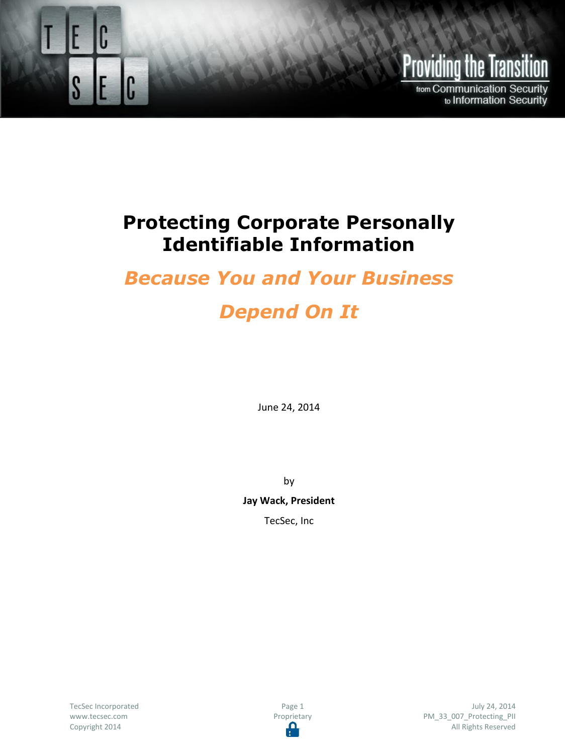

# **Providing the Transition**

from Communication Security to Information Security

### **Protecting Corporate Personally Identifiable Information**

## *Because You and Your Business*

# *Depend On It*

June 24, 2014

by

**Jay Wack, President**

TecSec, Inc

TecSec Incorporated [www.tecsec.com](http://www.tecsec.com/) Copyright 2014

Page 1 Proprietary Œ

July 24, 2014 PM\_33\_007\_Protecting\_PII All Rights Reserved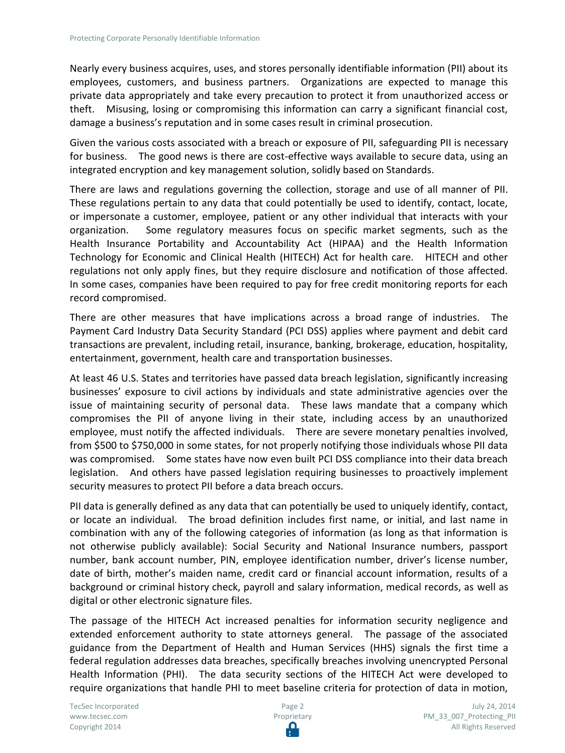Nearly every business acquires, uses, and stores personally identifiable information (PII) about its employees, customers, and business partners. Organizations are expected to manage this private data appropriately and take every precaution to protect it from unauthorized access or theft. Misusing, losing or compromising this information can carry a significant financial cost, damage a business's reputation and in some cases result in criminal prosecution.

Given the various costs associated with a breach or exposure of PII, safeguarding PII is necessary for business. The good news is there are cost-effective ways available to secure data, using an integrated encryption and key management solution, solidly based on Standards.

There are laws and regulations governing the collection, storage and use of all manner of PII. These regulations pertain to any data that could potentially be used to identify, contact, locate, or impersonate a customer, employee, patient or any other individual that interacts with your organization. Some regulatory measures focus on specific market segments, such as the Health Insurance Portability and Accountability Act (HIPAA) and the Health Information Technology for Economic and Clinical Health (HITECH) Act for health care. HITECH and other regulations not only apply fines, but they require disclosure and notification of those affected. In some cases, companies have been required to pay for free credit monitoring reports for each record compromised.

There are other measures that have implications across a broad range of industries. The Payment Card Industry Data Security Standard (PCI DSS) applies where payment and debit card transactions are prevalent, including retail, insurance, banking, brokerage, education, hospitality, entertainment, government, health care and transportation businesses.

At least 46 U.S. States and territories have passed data breach legislation, significantly increasing businesses' exposure to civil actions by individuals and state administrative agencies over the issue of maintaining security of personal data. These laws mandate that a company which compromises the PII of anyone living in their state, including access by an unauthorized employee, must notify the affected individuals. There are severe monetary penalties involved, from \$500 to \$750,000 in some states, for not properly notifying those individuals whose PII data was compromised. Some states have now even built PCI DSS compliance into their data breach legislation. And others have passed legislation requiring businesses to proactively implement security measures to protect PII before a data breach occurs.

PII data is generally defined as any data that can potentially be used to uniquely identify, contact, or locate an individual. The broad definition includes first name, or initial, and last name in combination with any of the following categories of information (as long as that information is not otherwise publicly available): Social Security and National Insurance numbers, passport number, bank account number, PIN, employee identification number, driver's license number, date of birth, mother's maiden name, credit card or financial account information, results of a background or criminal history check, payroll and salary information, medical records, as well as digital or other electronic signature files.

The passage of the HITECH Act increased penalties for information security negligence and extended enforcement authority to state attorneys general. The passage of the associated guidance from the Department of Health and Human Services (HHS) signals the first time a federal regulation addresses data breaches, specifically breaches involving unencrypted Personal Health Information (PHI). The data security sections of the HITECH Act were developed to require organizations that handle PHI to meet baseline criteria for protection of data in motion,

TecSec Incorporated [www.tecsec.com](http://www.tecsec.com/) Copyright 2014

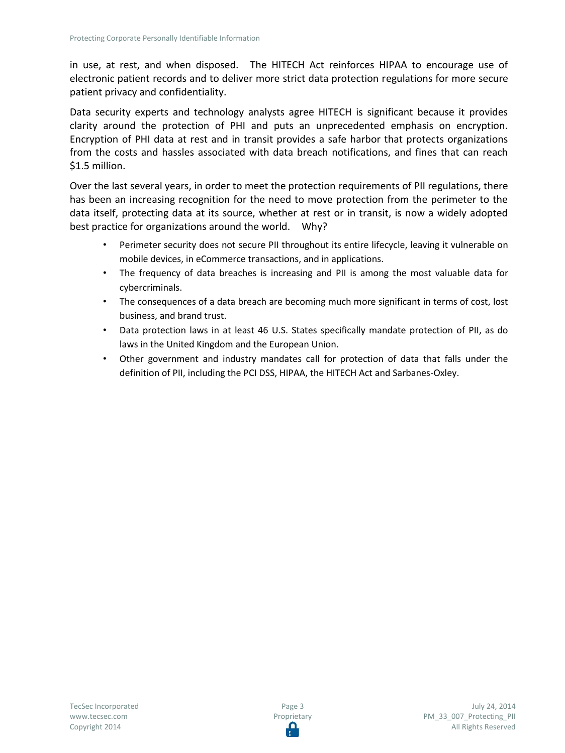in use, at rest, and when disposed. The HITECH Act reinforces HIPAA to encourage use of electronic patient records and to deliver more strict data protection regulations for more secure patient privacy and confidentiality.

Data security experts and technology analysts agree HITECH is significant because it provides clarity around the protection of PHI and puts an unprecedented emphasis on encryption. Encryption of PHI data at rest and in transit provides a safe harbor that protects organizations from the costs and hassles associated with data breach notifications, and fines that can reach \$1.5 million.

Over the last several years, in order to meet the protection requirements of PII regulations, there has been an increasing recognition for the need to move protection from the perimeter to the data itself, protecting data at its source, whether at rest or in transit, is now a widely adopted best practice for organizations around the world. Why?

- Perimeter security does not secure PII throughout its entire lifecycle, leaving it vulnerable on mobile devices, in eCommerce transactions, and in applications.
- The frequency of data breaches is increasing and PII is among the most valuable data for cybercriminals.
- The consequences of a data breach are becoming much more significant in terms of cost, lost business, and brand trust.
- Data protection laws in at least 46 U.S. States specifically mandate protection of PII, as do laws in the United Kingdom and the European Union.
- Other government and industry mandates call for protection of data that falls under the definition of PII, including the PCI DSS, HIPAA, the HITECH Act and Sarbanes-Oxley.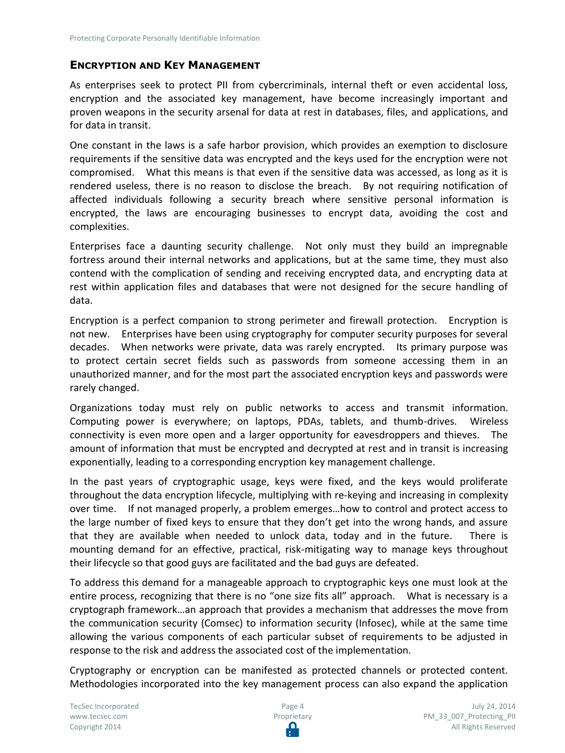### **ENCRYPTION AND KEY MANAGEMENT**

As enterprises seek to protect PII from cybercriminals, internal theft or even accidental loss, encryption and the associated key management, have become increasingly important and proven weapons in the security arsenal for data at rest in databases, files, and applications, and for data in transit.

One constant in the laws is a safe harbor provision, which provides an exemption to disclosure requirements if the sensitive data was encrypted and the keys used for the encryption were not compromised. What this means is that even if the sensitive data was accessed, as long as it is rendered useless, there is no reason to disclose the breach. By not requiring notification of affected individuals following a security breach where sensitive personal information is encrypted, the laws are encouraging businesses to encrypt data, avoiding the cost and complexities.

Enterprises face a daunting security challenge. Not only must they build an impregnable fortress around their internal networks and applications, but at the same time, they must also contend with the complication of sending and receiving encrypted data, and encrypting data at rest within application files and databases that were not designed for the secure handling of data.

Encryption is a perfect companion to strong perimeter and firewall protection. Encryption is not new. Enterprises have been using cryptography for computer security purposes for several decades. When networks were private, data was rarely encrypted. Its primary purpose was to protect certain secret fields such as passwords from someone accessing them in an unauthorized manner, and for the most part the associated encryption keys and passwords were rarely changed.

Organizations today must rely on public networks to access and transmit information. Computing power is everywhere; on laptops, PDAs, tablets, and thumb-drives. Wireless connectivity is even more open and a larger opportunity for eavesdroppers and thieves. The amount of information that must be encrypted and decrypted at rest and in transit is increasing exponentially, leading to a corresponding encryption key management challenge.

In the past years of cryptographic usage, keys were fixed, and the keys would proliferate throughout the data encryption lifecycle, multiplying with re-keying and increasing in complexity over time. If not managed properly, a problem emerges…how to control and protect access to the large number of fixed keys to ensure that they don't get into the wrong hands, and assure that they are available when needed to unlock data, today and in the future. There is mounting demand for an effective, practical, risk-mitigating way to manage keys throughout their lifecycle so that good guys are facilitated and the bad guys are defeated.

To address this demand for a manageable approach to cryptographic keys one must look at the entire process, recognizing that there is no "one size fits all" approach. What is necessary is a cryptograph framework…an approach that provides a mechanism that addresses the move from the communication security (Comsec) to information security (Infosec), while at the same time allowing the various components of each particular subset of requirements to be adjusted in response to the risk and address the associated cost of the implementation.

Cryptography or encryption can be manifested as protected channels or protected content. Methodologies incorporated into the key management process can also expand the application

TecSec Incorporated [www.tecsec.com](http://www.tecsec.com/) Copyright 2014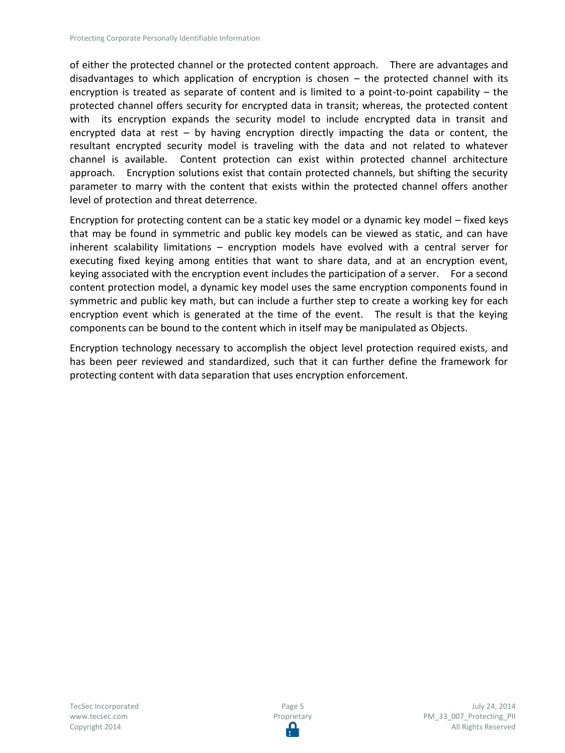of either the protected channel or the protected content approach. There are advantages and disadvantages to which application of encryption is chosen – the protected channel with its encryption is treated as separate of content and is limited to a point-to-point capability – the protected channel offers security for encrypted data in transit; whereas, the protected content with its encryption expands the security model to include encrypted data in transit and encrypted data at rest – by having encryption directly impacting the data or content, the resultant encrypted security model is traveling with the data and not related to whatever channel is available. Content protection can exist within protected channel architecture approach. Encryption solutions exist that contain protected channels, but shifting the security parameter to marry with the content that exists within the protected channel offers another level of protection and threat deterrence.

Encryption for protecting content can be a static key model or a dynamic key model – fixed keys that may be found in symmetric and public key models can be viewed as static, and can have inherent scalability limitations – encryption models have evolved with a central server for executing fixed keying among entities that want to share data, and at an encryption event, keying associated with the encryption event includes the participation of a server. For a second content protection model, a dynamic key model uses the same encryption components found in symmetric and public key math, but can include a further step to create a working key for each encryption event which is generated at the time of the event. The result is that the keying components can be bound to the content which in itself may be manipulated as Objects.

Encryption technology necessary to accomplish the object level protection required exists, and has been peer reviewed and standardized, such that it can further define the framework for protecting content with data separation that uses encryption enforcement.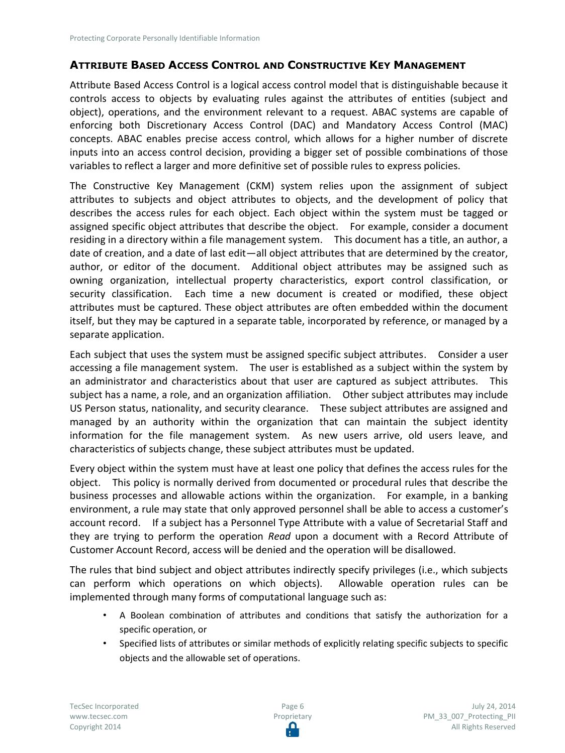#### **ATTRIBUTE BASED ACCESS CONTROL AND CONSTRUCTIVE KEY MANAGEMENT**

Attribute Based Access Control is a logical access control model that is distinguishable because it controls access to objects by evaluating rules against the attributes of entities (subject and object), operations, and the environment relevant to a request. ABAC systems are capable of enforcing both Discretionary Access Control (DAC) and Mandatory Access Control (MAC) concepts. ABAC enables precise access control, which allows for a higher number of discrete inputs into an access control decision, providing a bigger set of possible combinations of those variables to reflect a larger and more definitive set of possible rules to express policies.

The Constructive Key Management (CKM) system relies upon the assignment of subject attributes to subjects and object attributes to objects, and the development of policy that describes the access rules for each object. Each object within the system must be tagged or assigned specific object attributes that describe the object. For example, consider a document residing in a directory within a file management system. This document has a title, an author, a date of creation, and a date of last edit—all object attributes that are determined by the creator, author, or editor of the document. Additional object attributes may be assigned such as owning organization, intellectual property characteristics, export control classification, or security classification. Each time a new document is created or modified, these object attributes must be captured. These object attributes are often embedded within the document itself, but they may be captured in a separate table, incorporated by reference, or managed by a separate application.

Each subject that uses the system must be assigned specific subject attributes. Consider a user accessing a file management system. The user is established as a subject within the system by an administrator and characteristics about that user are captured as subject attributes. This subject has a name, a role, and an organization affiliation. Other subject attributes may include US Person status, nationality, and security clearance. These subject attributes are assigned and managed by an authority within the organization that can maintain the subject identity information for the file management system. As new users arrive, old users leave, and characteristics of subjects change, these subject attributes must be updated.

Every object within the system must have at least one policy that defines the access rules for the object. This policy is normally derived from documented or procedural rules that describe the business processes and allowable actions within the organization. For example, in a banking environment, a rule may state that only approved personnel shall be able to access a customer's account record. If a subject has a Personnel Type Attribute with a value of Secretarial Staff and they are trying to perform the operation *Read* upon a document with a Record Attribute of Customer Account Record, access will be denied and the operation will be disallowed.

The rules that bind subject and object attributes indirectly specify privileges (i.e., which subjects can perform which operations on which objects). Allowable operation rules can be implemented through many forms of computational language such as:

- A Boolean combination of attributes and conditions that satisfy the authorization for a specific operation, or
- Specified lists of attributes or similar methods of explicitly relating specific subjects to specific objects and the allowable set of operations.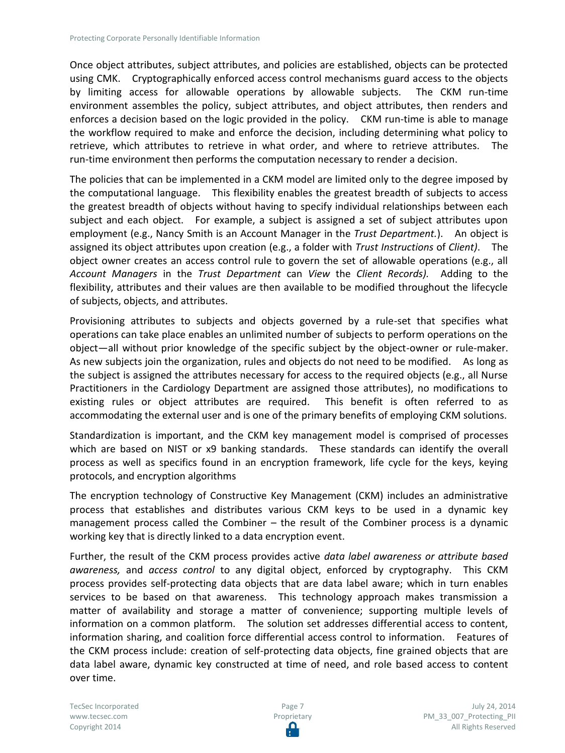Once object attributes, subject attributes, and policies are established, objects can be protected using CMK. Cryptographically enforced access control mechanisms guard access to the objects by limiting access for allowable operations by allowable subjects. The CKM run-time environment assembles the policy, subject attributes, and object attributes, then renders and enforces a decision based on the logic provided in the policy. CKM run-time is able to manage the workflow required to make and enforce the decision, including determining what policy to retrieve, which attributes to retrieve in what order, and where to retrieve attributes. The run-time environment then performs the computation necessary to render a decision.

The policies that can be implemented in a CKM model are limited only to the degree imposed by the computational language. This flexibility enables the greatest breadth of subjects to access the greatest breadth of objects without having to specify individual relationships between each subject and each object. For example, a subject is assigned a set of subject attributes upon employment (e.g., Nancy Smith is an Account Manager in the *Trust Department.*). An object is assigned its object attributes upon creation (e.g., a folder with *Trust Instructions* of *Client)*. The object owner creates an access control rule to govern the set of allowable operations (e.g., all *Account Managers* in the *Trust Department* can *View* the *Client Records).* Adding to the flexibility, attributes and their values are then available to be modified throughout the lifecycle of subjects, objects, and attributes.

Provisioning attributes to subjects and objects governed by a rule-set that specifies what operations can take place enables an unlimited number of subjects to perform operations on the object—all without prior knowledge of the specific subject by the object-owner or rule-maker. As new subjects join the organization, rules and objects do not need to be modified. As long as the subject is assigned the attributes necessary for access to the required objects (e.g., all Nurse Practitioners in the Cardiology Department are assigned those attributes), no modifications to existing rules or object attributes are required. This benefit is often referred to as accommodating the external user and is one of the primary benefits of employing CKM solutions.

Standardization is important, and the CKM key management model is comprised of processes which are based on NIST or x9 banking standards. These standards can identify the overall process as well as specifics found in an encryption framework, life cycle for the keys, keying protocols, and encryption algorithms

The encryption technology of Constructive Key Management (CKM) includes an administrative process that establishes and distributes various CKM keys to be used in a dynamic key management process called the Combiner – the result of the Combiner process is a dynamic working key that is directly linked to a data encryption event.

Further, the result of the CKM process provides active *data label awareness or attribute based awareness,* and *access control* to any digital object, enforced by cryptography. This CKM process provides self-protecting data objects that are data label aware; which in turn enables services to be based on that awareness. This technology approach makes transmission a matter of availability and storage a matter of convenience; supporting multiple levels of information on a common platform. The solution set addresses differential access to content, information sharing, and coalition force differential access control to information. Features of the CKM process include: creation of self-protecting data objects, fine grained objects that are data label aware, dynamic key constructed at time of need, and role based access to content over time.

TecSec Incorporated [www.tecsec.com](http://www.tecsec.com/) Copyright 2014

Page 7 Proprietary Ω